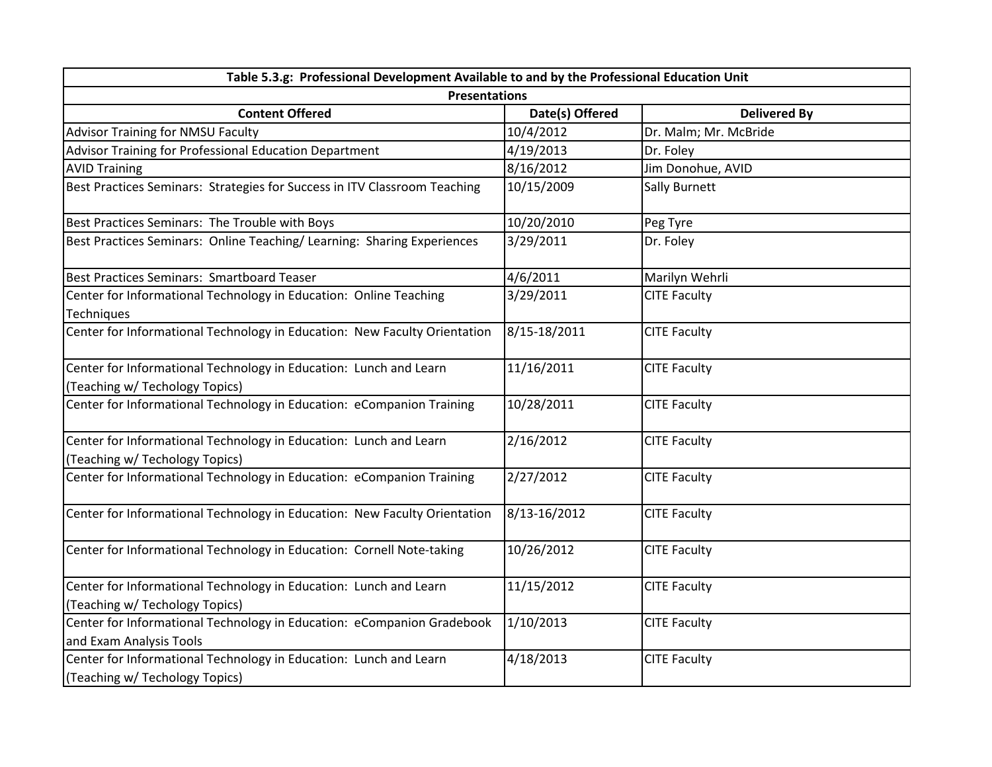| Table 5.3.g: Professional Development Available to and by the Professional Education Unit           |                 |                       |  |  |  |
|-----------------------------------------------------------------------------------------------------|-----------------|-----------------------|--|--|--|
| <b>Presentations</b>                                                                                |                 |                       |  |  |  |
| <b>Content Offered</b>                                                                              | Date(s) Offered | <b>Delivered By</b>   |  |  |  |
| Advisor Training for NMSU Faculty                                                                   | 10/4/2012       | Dr. Malm; Mr. McBride |  |  |  |
| Advisor Training for Professional Education Department                                              | 4/19/2013       | Dr. Foley             |  |  |  |
| <b>AVID Training</b>                                                                                | 8/16/2012       | Jim Donohue, AVID     |  |  |  |
| Best Practices Seminars: Strategies for Success in ITV Classroom Teaching                           | 10/15/2009      | Sally Burnett         |  |  |  |
| Best Practices Seminars: The Trouble with Boys                                                      | 10/20/2010      | Peg Tyre              |  |  |  |
| Best Practices Seminars: Online Teaching/ Learning: Sharing Experiences                             | 3/29/2011       | Dr. Foley             |  |  |  |
| Best Practices Seminars: Smartboard Teaser                                                          | 4/6/2011        | Marilyn Wehrli        |  |  |  |
| Center for Informational Technology in Education: Online Teaching<br>Techniques                     | 3/29/2011       | <b>CITE Faculty</b>   |  |  |  |
| Center for Informational Technology in Education: New Faculty Orientation                           | 8/15-18/2011    | <b>CITE Faculty</b>   |  |  |  |
| Center for Informational Technology in Education: Lunch and Learn<br>(Teaching w/ Techology Topics) | 11/16/2011      | <b>CITE Faculty</b>   |  |  |  |
| Center for Informational Technology in Education: eCompanion Training                               | 10/28/2011      | <b>CITE Faculty</b>   |  |  |  |
| Center for Informational Technology in Education: Lunch and Learn<br>(Teaching w/ Techology Topics) | 2/16/2012       | <b>CITE Faculty</b>   |  |  |  |
| Center for Informational Technology in Education: eCompanion Training                               | 2/27/2012       | <b>CITE Faculty</b>   |  |  |  |
| Center for Informational Technology in Education: New Faculty Orientation                           | 8/13-16/2012    | <b>CITE Faculty</b>   |  |  |  |
| Center for Informational Technology in Education: Cornell Note-taking                               | 10/26/2012      | <b>CITE Faculty</b>   |  |  |  |
| Center for Informational Technology in Education: Lunch and Learn<br>(Teaching w/ Techology Topics) | 11/15/2012      | <b>CITE Faculty</b>   |  |  |  |
| Center for Informational Technology in Education: eCompanion Gradebook<br>and Exam Analysis Tools   | 1/10/2013       | <b>CITE Faculty</b>   |  |  |  |
| Center for Informational Technology in Education: Lunch and Learn<br>(Teaching w/ Techology Topics) | 4/18/2013       | <b>CITE Faculty</b>   |  |  |  |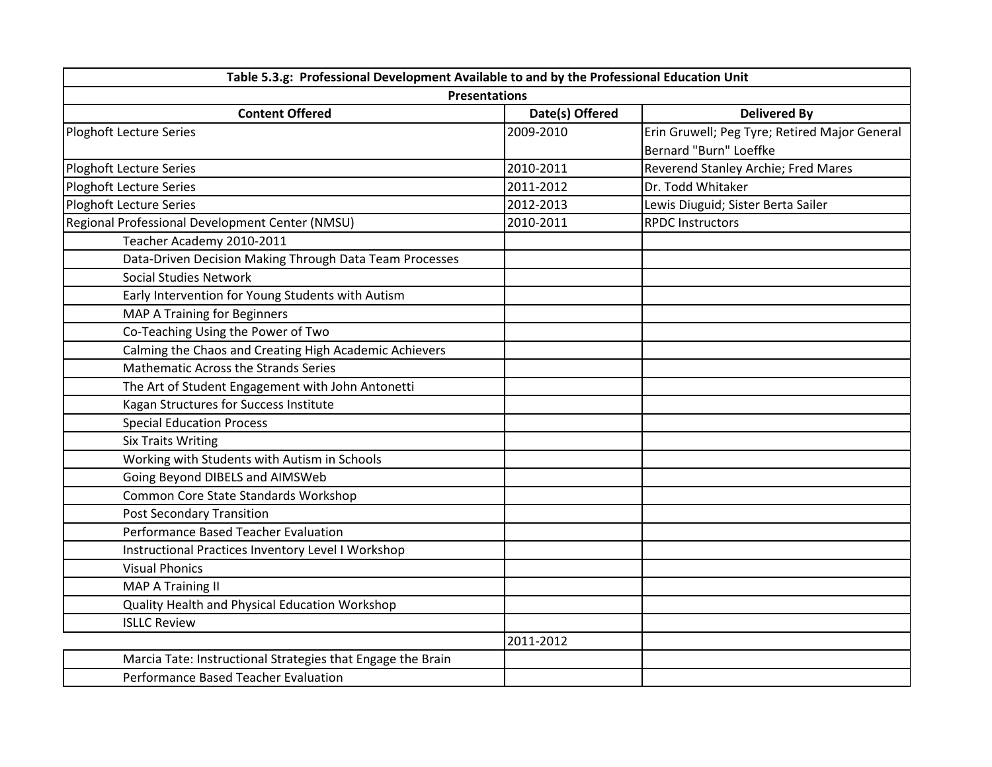| Table 5.3.g: Professional Development Available to and by the Professional Education Unit |                 |                                               |  |  |
|-------------------------------------------------------------------------------------------|-----------------|-----------------------------------------------|--|--|
| <b>Presentations</b>                                                                      |                 |                                               |  |  |
| <b>Content Offered</b>                                                                    | Date(s) Offered | <b>Delivered By</b>                           |  |  |
| Ploghoft Lecture Series                                                                   | 2009-2010       | Erin Gruwell; Peg Tyre; Retired Major General |  |  |
|                                                                                           |                 | Bernard "Burn" Loeffke                        |  |  |
| Ploghoft Lecture Series                                                                   | 2010-2011       | Reverend Stanley Archie; Fred Mares           |  |  |
| <b>Ploghoft Lecture Series</b>                                                            | 2011-2012       | Dr. Todd Whitaker                             |  |  |
| Ploghoft Lecture Series                                                                   | 2012-2013       | Lewis Diuguid; Sister Berta Sailer            |  |  |
| Regional Professional Development Center (NMSU)                                           | 2010-2011       | <b>RPDC Instructors</b>                       |  |  |
| Teacher Academy 2010-2011                                                                 |                 |                                               |  |  |
| Data-Driven Decision Making Through Data Team Processes                                   |                 |                                               |  |  |
| <b>Social Studies Network</b>                                                             |                 |                                               |  |  |
| Early Intervention for Young Students with Autism                                         |                 |                                               |  |  |
| MAP A Training for Beginners                                                              |                 |                                               |  |  |
| Co-Teaching Using the Power of Two                                                        |                 |                                               |  |  |
| Calming the Chaos and Creating High Academic Achievers                                    |                 |                                               |  |  |
| <b>Mathematic Across the Strands Series</b>                                               |                 |                                               |  |  |
| The Art of Student Engagement with John Antonetti                                         |                 |                                               |  |  |
| Kagan Structures for Success Institute                                                    |                 |                                               |  |  |
| <b>Special Education Process</b>                                                          |                 |                                               |  |  |
| <b>Six Traits Writing</b>                                                                 |                 |                                               |  |  |
| Working with Students with Autism in Schools                                              |                 |                                               |  |  |
| Going Beyond DIBELS and AIMSWeb                                                           |                 |                                               |  |  |
| Common Core State Standards Workshop                                                      |                 |                                               |  |  |
| <b>Post Secondary Transition</b>                                                          |                 |                                               |  |  |
| Performance Based Teacher Evaluation                                                      |                 |                                               |  |  |
| Instructional Practices Inventory Level I Workshop                                        |                 |                                               |  |  |
| <b>Visual Phonics</b>                                                                     |                 |                                               |  |  |
| <b>MAP A Training II</b>                                                                  |                 |                                               |  |  |
| Quality Health and Physical Education Workshop                                            |                 |                                               |  |  |
| <b>ISLLC Review</b>                                                                       |                 |                                               |  |  |
|                                                                                           | 2011-2012       |                                               |  |  |
| Marcia Tate: Instructional Strategies that Engage the Brain                               |                 |                                               |  |  |
| Performance Based Teacher Evaluation                                                      |                 |                                               |  |  |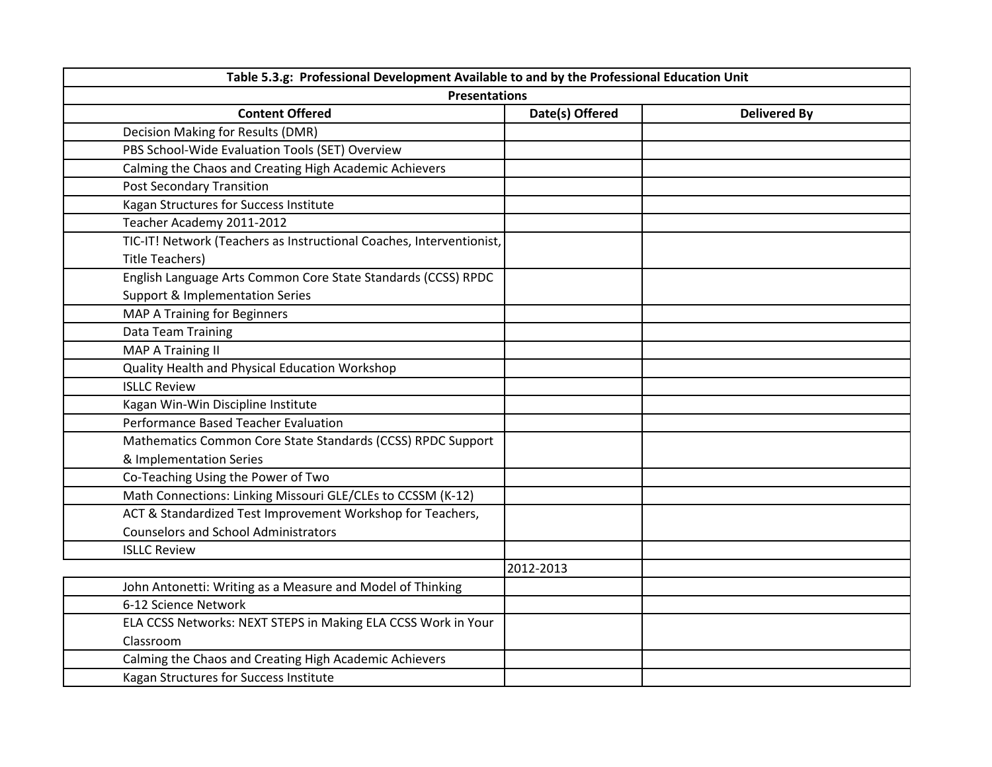| Table 5.3.g: Professional Development Available to and by the Professional Education Unit<br><b>Presentations</b> |           |  |  |  |
|-------------------------------------------------------------------------------------------------------------------|-----------|--|--|--|
|                                                                                                                   |           |  |  |  |
| Decision Making for Results (DMR)                                                                                 |           |  |  |  |
| PBS School-Wide Evaluation Tools (SET) Overview                                                                   |           |  |  |  |
| Calming the Chaos and Creating High Academic Achievers                                                            |           |  |  |  |
| <b>Post Secondary Transition</b>                                                                                  |           |  |  |  |
| Kagan Structures for Success Institute                                                                            |           |  |  |  |
| Teacher Academy 2011-2012                                                                                         |           |  |  |  |
| TIC-IT! Network (Teachers as Instructional Coaches, Interventionist,                                              |           |  |  |  |
| <b>Title Teachers)</b>                                                                                            |           |  |  |  |
| English Language Arts Common Core State Standards (CCSS) RPDC                                                     |           |  |  |  |
| <b>Support &amp; Implementation Series</b>                                                                        |           |  |  |  |
| MAP A Training for Beginners                                                                                      |           |  |  |  |
| Data Team Training                                                                                                |           |  |  |  |
| <b>MAP A Training II</b>                                                                                          |           |  |  |  |
| Quality Health and Physical Education Workshop                                                                    |           |  |  |  |
| <b>ISLLC Review</b>                                                                                               |           |  |  |  |
| Kagan Win-Win Discipline Institute                                                                                |           |  |  |  |
| Performance Based Teacher Evaluation                                                                              |           |  |  |  |
| Mathematics Common Core State Standards (CCSS) RPDC Support                                                       |           |  |  |  |
| & Implementation Series                                                                                           |           |  |  |  |
| Co-Teaching Using the Power of Two                                                                                |           |  |  |  |
| Math Connections: Linking Missouri GLE/CLEs to CCSSM (K-12)                                                       |           |  |  |  |
| ACT & Standardized Test Improvement Workshop for Teachers,                                                        |           |  |  |  |
| <b>Counselors and School Administrators</b>                                                                       |           |  |  |  |
| <b>ISLLC Review</b>                                                                                               |           |  |  |  |
|                                                                                                                   | 2012-2013 |  |  |  |
| John Antonetti: Writing as a Measure and Model of Thinking                                                        |           |  |  |  |
| 6-12 Science Network                                                                                              |           |  |  |  |
| ELA CCSS Networks: NEXT STEPS in Making ELA CCSS Work in Your                                                     |           |  |  |  |
| Classroom                                                                                                         |           |  |  |  |
| Calming the Chaos and Creating High Academic Achievers                                                            |           |  |  |  |
| Kagan Structures for Success Institute                                                                            |           |  |  |  |